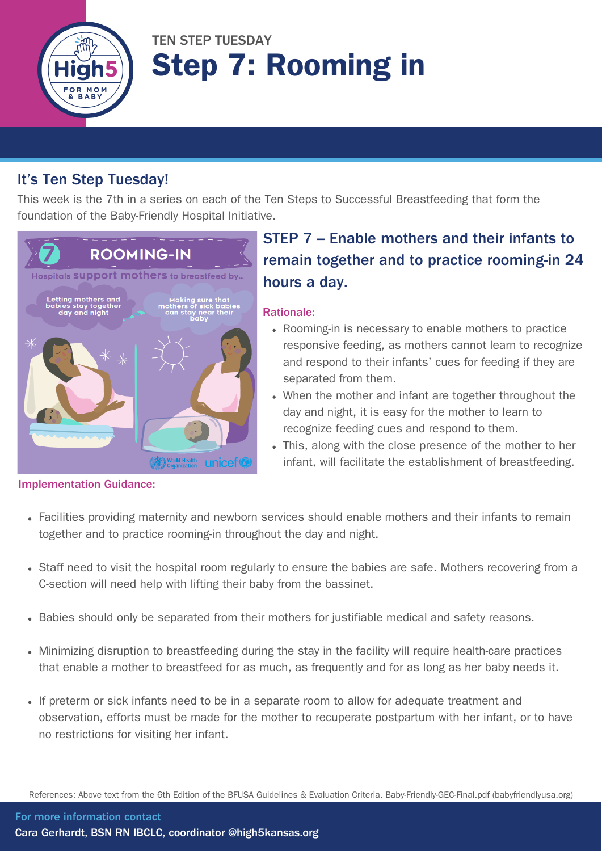

# TEN STEP TUESDAY Step 7: Rooming in

### It's Ten Step Tuesday!

This week is the 7th in a series on each of the Ten Steps to Successful Breastfeeding that form the foundation of the Baby-Friendly Hospital Initiative.



### STEP 7 - Enable mothers and their infants to remain together and to practice rooming-in 24 hours a day.

#### Rationale:

- Rooming-in is necessary to enable mothers to practice responsive feeding, as mothers cannot learn to recognize and respond to their infants' cues for feeding if they are separated from them.
- When the mother and infant are together throughout the day and night, it is easy for the mother to learn to recognize feeding cues and respond to them.
- This, along with the close presence of the mother to her infant, will facilitate the establishment of breastfeeding.

- Implementation Guidance:
	- Facilities providing maternity and newborn services should enable mothers and their infants to remain together and to practice rooming-in throughout the day and night.
	- Staff need to visit the hospital room regularly to ensure the babies are safe. Mothers recovering from a C-section will need help with lifting their baby from the bassinet.
	- Babies should only be separated from their mothers for justifiable medical and safety reasons.
	- Minimizing disruption to breastfeeding during the stay in the facility will require health-care practices that enable a mother to breastfeed for as much, as frequently and for as long as her baby needs it.
	- If preterm or sick infants need to be in a separate room to allow for adequate treatment and observation, efforts must be made for the mother to recuperate postpartum with her infant, or to have no restrictions for visiting her infant.